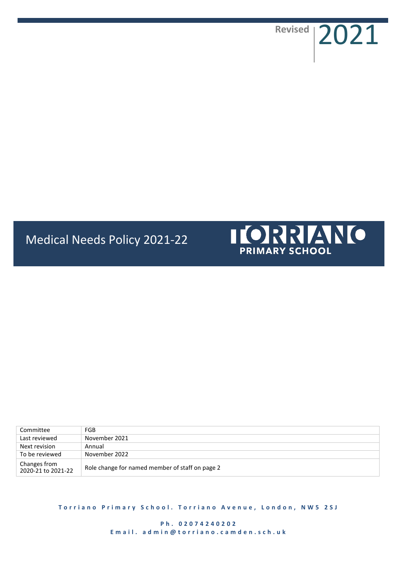**Revised** 2021

# Medical Needs Policy 2021-22



| Committee                          | FGB                                             |
|------------------------------------|-------------------------------------------------|
| Last reviewed                      | November 2021                                   |
| Next revision                      | Annual                                          |
| To be reviewed                     | November 2022                                   |
| Changes from<br>2020-21 to 2021-22 | Role change for named member of staff on page 2 |

**Torriano Primary School. Torriano Avenue, London, NW5 2SJ** 

**P h . 0 2 0 7 4 2 4 0 2 0 2** Email. admin@torriano.camden.sch.uk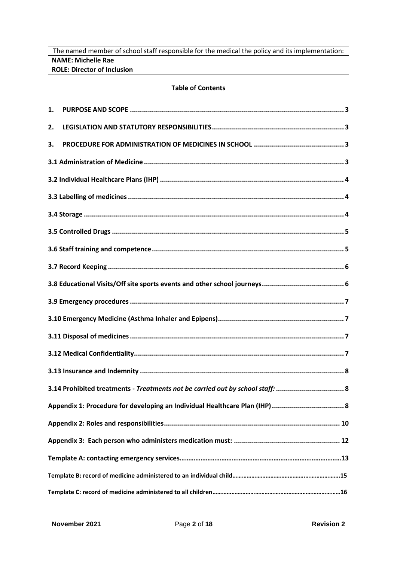The named member of school staff responsible for the medical the policy and its implementation: **NAME: Michelle Rae ROLE: Director of Inclusion**

# **Table of Contents**

| 1. |                                                                                |  |
|----|--------------------------------------------------------------------------------|--|
| 2. |                                                                                |  |
| 3. |                                                                                |  |
|    |                                                                                |  |
|    |                                                                                |  |
|    |                                                                                |  |
|    |                                                                                |  |
|    |                                                                                |  |
|    |                                                                                |  |
|    |                                                                                |  |
|    |                                                                                |  |
|    |                                                                                |  |
|    |                                                                                |  |
|    |                                                                                |  |
|    |                                                                                |  |
|    |                                                                                |  |
|    | 3.14 Prohibited treatments - Treatments not be carried out by school staff:  8 |  |
|    |                                                                                |  |
|    |                                                                                |  |
|    |                                                                                |  |
|    |                                                                                |  |
|    |                                                                                |  |
|    |                                                                                |  |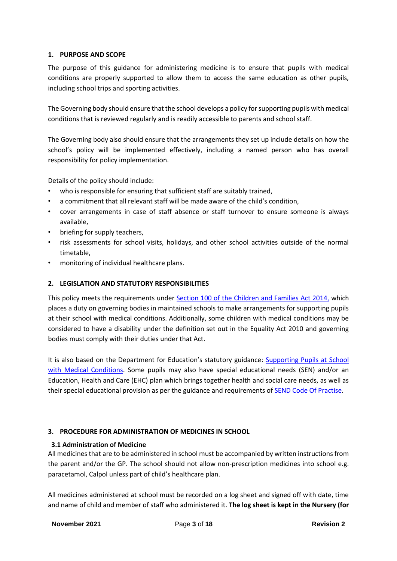# <span id="page-2-0"></span>**1. PURPOSE AND SCOPE**

The purpose of this guidance for administering medicine is to ensure that pupils with medical conditions are properly supported to allow them to access the same education as other pupils, including school trips and sporting activities.

The Governing body should ensure that the school develops a policy for supporting pupils with medical conditions that is reviewed regularly and is readily accessible to parents and school staff.

The Governing body also should ensure that the arrangements they set up include details on how the school's policy will be implemented effectively, including a named person who has overall responsibility for policy implementation.

Details of the policy should include:

- who is responsible for ensuring that sufficient staff are suitably trained,
- a commitment that all relevant staff will be made aware of the child's condition,
- cover arrangements in case of staff absence or staff turnover to ensure someone is always available,
- briefing for supply teachers,
- risk assessments for school visits, holidays, and other school activities outside of the normal timetable,
- monitoring of individual healthcare plans.

# <span id="page-2-1"></span>**2. LEGISLATION AND STATUTORY RESPONSIBILITIES**

This policy meets the requirements under [Section 100 of the Children and Families Act 2014,](http://www.legislation.gov.uk/ukpga/2014/6/section/100/enacted) which places a duty on governing bodies in maintained schools to make arrangements for supporting pupils at their school with medical conditions. Additionally, some children with medical conditions may be considered to have a disability under the definition set out in the Equality Act 2010 and governing bodies must comply with their duties under that Act.

It is also based on the Department for Education's statutory guidance: [Supporting Pupils at School](https://www.gov.uk/government/publications/supporting-pupils-at-school-with-medical-conditions--3)  [with Medical Conditions.](https://www.gov.uk/government/publications/supporting-pupils-at-school-with-medical-conditions--3) Some pupils may also have special educational needs (SEN) and/or an Education, Health and Care (EHC) plan which brings together health and social care needs, as well as their special educational provision as per the guidance and requirements of [SEND Code Of](https://www.gov.uk/government/publications/send-code-of-practice-0-to-25) Practise.

# <span id="page-2-2"></span>**3. PROCEDURE FOR ADMINISTRATION OF MEDICINES IN SCHOOL**

# <span id="page-2-3"></span>**3.1 Administration of Medicine**

All medicines that are to be administered in school must be accompanied by written instructions from the parent and/or the GP. The school should not allow non-prescription medicines into school e.g. paracetamol, Calpol unless part of child's healthcare plan.

All medicines administered at school must be recorded on a log sheet and signed off with date, time and name of child and member of staff who administered it. **The log sheet is kept in the Nursery (for** 

| 2021<br>18<br>November<br>-<br>151OL | _______ |
|--------------------------------------|---------|
|--------------------------------------|---------|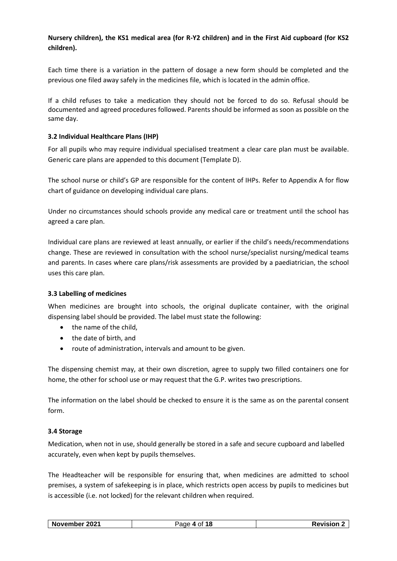# **Nursery children), the KS1 medical area (for R-Y2 children) and in the First Aid cupboard (for KS2 children).**

Each time there is a variation in the pattern of dosage a new form should be completed and the previous one filed away safely in the medicines file, which is located in the admin office.

If a child refuses to take a medication they should not be forced to do so. Refusal should be documented and agreed procedures followed. Parents should be informed as soon as possible on the same day.

# <span id="page-3-0"></span>**3.2 Individual Healthcare Plans (IHP)**

For all pupils who may require individual specialised treatment a clear care plan must be available. Generic care plans are appended to this document (Template D).

The school nurse or child's GP are responsible for the content of IHPs. Refer to Appendix A for flow chart of guidance on developing individual care plans.

Under no circumstances should schools provide any medical care or treatment until the school has agreed a care plan.

Individual care plans are reviewed at least annually, or earlier if the child's needs/recommendations change. These are reviewed in consultation with the school nurse/specialist nursing/medical teams and parents. In cases where care plans/risk assessments are provided by a paediatrician, the school uses this care plan.

#### <span id="page-3-1"></span>**3.3 Labelling of medicines**

When medicines are brought into schools, the original duplicate container, with the original dispensing label should be provided. The label must state the following:

- the name of the child,
- the date of birth, and
- route of administration, intervals and amount to be given.

The dispensing chemist may, at their own discretion, agree to supply two filled containers one for home, the other for school use or may request that the G.P. writes two prescriptions.

The information on the label should be checked to ensure it is the same as on the parental consent form.

#### <span id="page-3-2"></span>**3.4 Storage**

Medication, when not in use, should generally be stored in a safe and secure cupboard and labelled accurately, even when kept by pupils themselves.

The Headteacher will be responsible for ensuring that, when medicines are admitted to school premises, a system of safekeeping is in place, which restricts open access by pupils to medicines but is accessible (i.e. not locked) for the relevant children when required.

| 2021<br>November | of <b>18</b><br>Page | <b>Revision</b> 2 |
|------------------|----------------------|-------------------|
|------------------|----------------------|-------------------|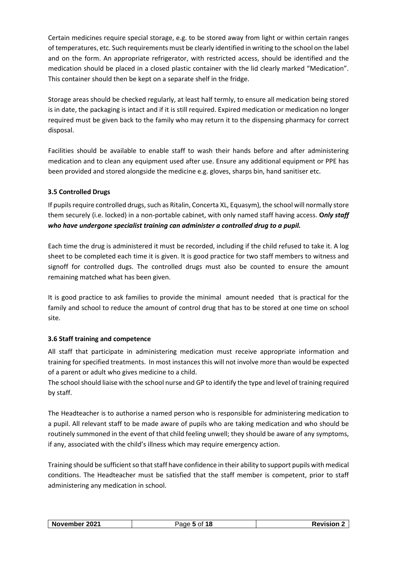Certain medicines require special storage, e.g. to be stored away from light or within certain ranges of temperatures, etc. Such requirements must be clearly identified in writing to the school on the label and on the form. An appropriate refrigerator, with restricted access, should be identified and the medication should be placed in a closed plastic container with the lid clearly marked "Medication". This container should then be kept on a separate shelf in the fridge.

Storage areas should be checked regularly, at least half termly, to ensure all medication being stored is in date, the packaging is intact and if it is still required. Expired medication or medication no longer required must be given back to the family who may return it to the dispensing pharmacy for correct disposal.

Facilities should be available to enable staff to wash their hands before and after administering medication and to clean any equipment used after use. Ensure any additional equipment or PPE has been provided and stored alongside the medicine e.g. gloves, sharps bin, hand sanitiser etc.

# <span id="page-4-0"></span>**3.5 Controlled Drugs**

If pupils require controlled drugs, such as Ritalin, Concerta XL, Equasym), the school will normally store them securely (i.e. locked) in a non-portable cabinet, with only named staff having access. **O***nly staff who have undergone specialist training can administer a controlled drug to a pupil.*

Each time the drug is administered it must be recorded, including if the child refused to take it. A log sheet to be completed each time it is given. It is good practice for two staff members to witness and signoff for controlled dugs. The controlled drugs must also be counted to ensure the amount remaining matched what has been given.

It is good practice to ask families to provide the minimal amount needed that is practical for the family and school to reduce the amount of control drug that has to be stored at one time on school site.

# <span id="page-4-1"></span>**3.6 Staff training and competence**

All staff that participate in administering medication must receive appropriate information and training for specified treatments. In most instances this will not involve more than would be expected of a parent or adult who gives medicine to a child.

The school should liaise with the school nurse and GP to identify the type and level of training required by staff.

The Headteacher is to authorise a named person who is responsible for administering medication to a pupil. All relevant staff to be made aware of pupils who are taking medication and who should be routinely summoned in the event of that child feeling unwell; they should be aware of any symptoms, if any, associated with the child's illness which may require emergency action.

Training should be sufficient so that staff have confidence in their ability to support pupils with medical conditions. The Headteacher must be satisfied that the staff member is competent, prior to staff administering any medication in school.

| November 2021 | Page 5 of 18 | <b>Revision 2</b> |
|---------------|--------------|-------------------|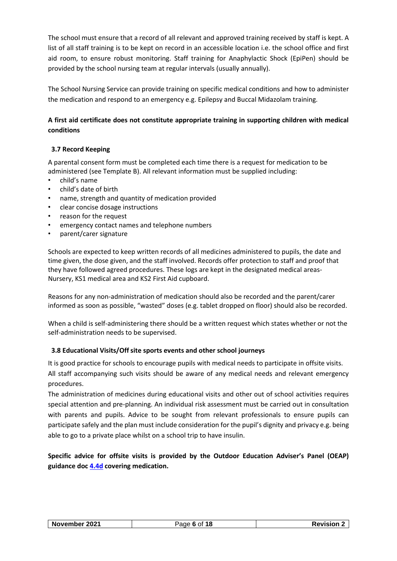The school must ensure that a record of all relevant and approved training received by staff is kept. A list of all staff training is to be kept on record in an accessible location i.e. the school office and first aid room, to ensure robust monitoring. Staff training for Anaphylactic Shock (EpiPen) should be provided by the school nursing team at regular intervals (usually annually).

The School Nursing Service can provide training on specific medical conditions and how to administer the medication and respond to an emergency e.g. Epilepsy and Buccal Midazolam training.

# **A first aid certificate does not constitute appropriate training in supporting children with medical conditions**

# <span id="page-5-0"></span>**3.7 Record Keeping**

A parental consent form must be completed each time there is a request for medication to be administered (see Template B). All relevant information must be supplied including:

- child's name
- child's date of birth
- name, strength and quantity of medication provided
- clear concise dosage instructions
- reason for the request
- emergency contact names and telephone numbers
- parent/carer signature

Schools are expected to keep written records of all medicines administered to pupils, the date and time given, the dose given, and the staff involved. Records offer protection to staff and proof that they have followed agreed procedures. These logs are kept in the designated medical areas-Nursery, KS1 medical area and KS2 First Aid cupboard.

Reasons for any non-administration of medication should also be recorded and the parent/carer informed as soon as possible, "wasted" doses (e.g. tablet dropped on floor) should also be recorded.

When a child is self-administering there should be a written request which states whether or not the self-administration needs to be supervised.

# <span id="page-5-1"></span>**3.8 Educational Visits/Off site sports events and other school journeys**

It is good practice for schools to encourage pupils with medical needs to participate in offsite visits. All staff accompanying such visits should be aware of any medical needs and relevant emergency procedures.

The administration of medicines during educational visits and other out of school activities requires special attention and pre-planning. An individual risk assessment must be carried out in consultation with parents and pupils. Advice to be sought from relevant professionals to ensure pupils can participate safely and the plan must include consideration for the pupil's dignity and privacy e.g. being able to go to a private place whilst on a school trip to have insulin.

**Specific advice for offsite visits is provided by the Outdoor Education Adviser's Panel (OEAP) guidance do[c 4.4d](http://oeapng.info/download/1438/) covering medication.**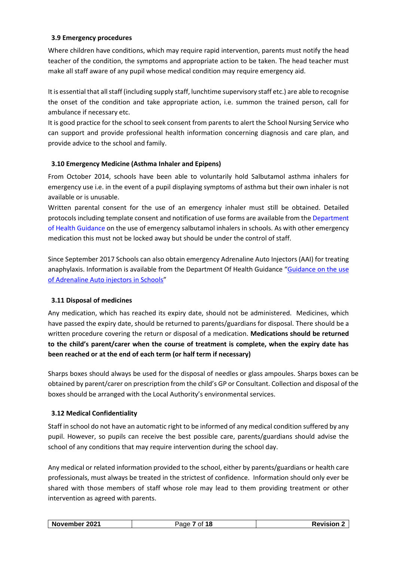### <span id="page-6-0"></span>**3.9 Emergency procedures**

Where children have conditions, which may require rapid intervention, parents must notify the head teacher of the condition, the symptoms and appropriate action to be taken. The head teacher must make all staff aware of any pupil whose medical condition may require emergency aid.

It is essential that all staff (including supply staff, lunchtime supervisory staff etc.) are able to recognise the onset of the condition and take appropriate action, i.e. summon the trained person, call for ambulance if necessary etc.

It is good practice for the school to seek consent from parents to alert the School Nursing Service who can support and provide professional health information concerning diagnosis and care plan, and provide advice to the school and family.

# <span id="page-6-1"></span>**3.10 Emergency Medicine (Asthma Inhaler and Epipens)**

From October 2014, schools have been able to voluntarily hold Salbutamol asthma inhalers for emergency use i.e. in the event of a pupil displaying symptoms of asthma but their own inhaler is not available or is unusable.

Written parental consent for the use of an emergency inhaler must still be obtained. Detailed protocols including template consent and notification of use forms are available from the [Department](https://www.gov.uk/government/publications/emergency-asthma-inhalers-for-use-in-schools)  [of Health Guidance](https://www.gov.uk/government/publications/emergency-asthma-inhalers-for-use-in-schools) on the use of emergency salbutamol inhalers in schools. As with other emergency medication this must not be locked away but should be under the control of staff.

Since September 2017 Schools can also obtain emergency Adrenaline Auto Injectors (AAI) for treating anaphylaxis. Information is available from the Department Of Health Guidance "Guidance on the use [of Adrenaline Auto injectors in Schools](https://www.gov.uk/government/publications/using-emergency-adrenaline-auto-injectors-in-schools)"

# <span id="page-6-2"></span>**3.11 Disposal of medicines**

Any medication, which has reached its expiry date, should not be administered. Medicines, which have passed the expiry date, should be returned to parents/guardians for disposal. There should be a written procedure covering the return or disposal of a medication. **Medications should be returned to the child's parent/carer when the course of treatment is complete, when the expiry date has been reached or at the end of each term (or half term if necessary)**

Sharps boxes should always be used for the disposal of needles or glass ampoules. Sharps boxes can be obtained by parent/carer on prescription from the child's GP or Consultant. Collection and disposal of the boxes should be arranged with the Local Authority's environmental services.

# <span id="page-6-3"></span>**3.12 Medical Confidentiality**

Staff in school do not have an automatic right to be informed of any medical condition suffered by any pupil. However, so pupils can receive the best possible care, parents/guardians should advise the school of any conditions that may require intervention during the school day.

Any medical or related information provided to the school, either by parents/guardians or health care professionals, must always be treated in the strictest of confidence. Information should only ever be shared with those members of staff whose role may lead to them providing treatment or other intervention as agreed with parents.

|  | 2021<br>November | Ω1<br>ане | Javieian<br>:vision |
|--|------------------|-----------|---------------------|
|--|------------------|-----------|---------------------|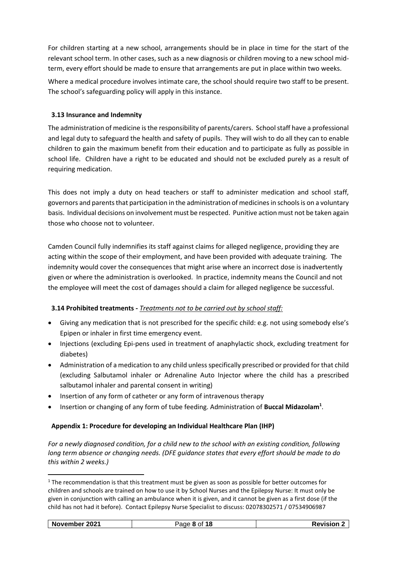For children starting at a new school, arrangements should be in place in time for the start of the relevant school term. In other cases, such as a new diagnosis or children moving to a new school midterm, every effort should be made to ensure that arrangements are put in place within two weeks.

Where a medical procedure involves intimate care, the school should require two staff to be present. The school's safeguarding policy will apply in this instance.

# <span id="page-7-0"></span>**3.13 Insurance and Indemnity**

The administration of medicine is the responsibility of parents/carers. School staff have a professional and legal duty to safeguard the health and safety of pupils. They will wish to do all they can to enable children to gain the maximum benefit from their education and to participate as fully as possible in school life. Children have a right to be educated and should not be excluded purely as a result of requiring medication.

This does not imply a duty on head teachers or staff to administer medication and school staff, governors and parents that participation in the administration of medicines in schools is on a voluntary basis. Individual decisions on involvement must be respected. Punitive action must not be taken again those who choose not to volunteer.

Camden Council fully indemnifies its staff against claims for alleged negligence, providing they are acting within the scope of their employment, and have been provided with adequate training. The indemnity would cover the consequences that might arise where an incorrect dose is inadvertently given or where the administration is overlooked. In practice, indemnity means the Council and not the employee will meet the cost of damages should a claim for alleged negligence be successful.

# <span id="page-7-1"></span>**3.14 Prohibited treatments -** *Treatments not to be carried out by school staff:*

- Giving any medication that is not prescribed for the specific child: e.g. not using somebody else's Epipen or inhaler in first time emergency event.
- Injections (excluding Epi-pens used in treatment of anaphylactic shock, excluding treatment for diabetes)
- Administration of a medication to any child unless specifically prescribed or provided for that child (excluding Salbutamol inhaler or Adrenaline Auto Injector where the child has a prescribed salbutamol inhaler and parental consent in writing)
- Insertion of any form of catheter or any form of intravenous therapy
- Insertion or changing of any form of tube feeding. Administration of **Buccal Midazolam<sup>1</sup>** .

# <span id="page-7-2"></span>**Appendix 1: Procedure for developing an Individual Healthcare Plan (IHP)**

*For a newly diagnosed condition, for a child new to the school with an existing condition, following long term absence or changing needs. (DFE guidance states that every effort should be made to do this within 2 weeks.)*

-

 $1$  The recommendation is that this treatment must be given as soon as possible for better outcomes for children and schools are trained on how to use it by School Nurses and the Epilepsy Nurse: It must only be given in conjunction with calling an ambulance when it is given, and it cannot be given as a first dose (if the child has not had it before). Contact Epilepsy Nurse Specialist to discuss: 02078302571 / 07534906987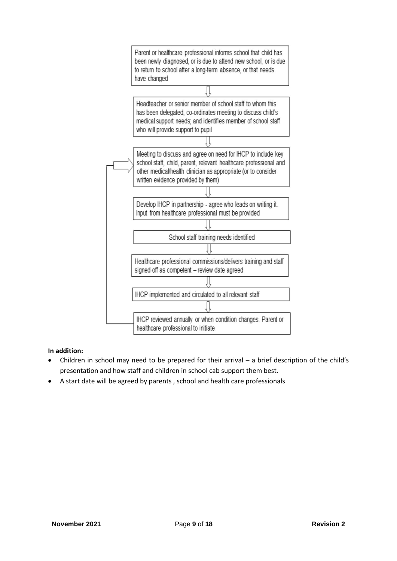

# **In addition:**

- Children in school may need to be prepared for their arrival a brief description of the child's presentation and how staff and children in school cab support them best.
- A start date will be agreed by parents , school and health care professionals

| November 2021 | 18<br>720 P | /ISION |
|---------------|-------------|--------|
|               |             |        |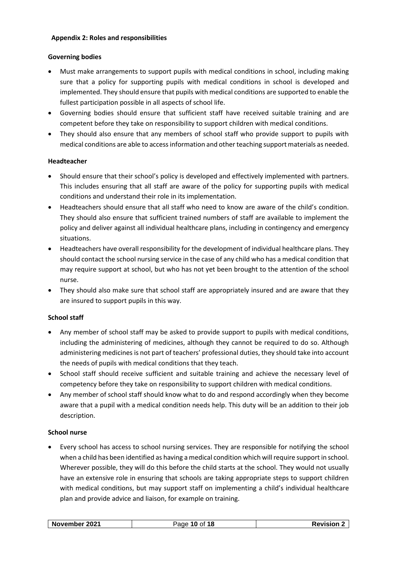#### <span id="page-9-0"></span>**Appendix 2: Roles and responsibilities**

### **Governing bodies**

- Must make arrangements to support pupils with medical conditions in school, including making sure that a policy for supporting pupils with medical conditions in school is developed and implemented. They should ensure that pupils with medical conditions are supported to enable the fullest participation possible in all aspects of school life.
- Governing bodies should ensure that sufficient staff have received suitable training and are competent before they take on responsibility to support children with medical conditions.
- They should also ensure that any members of school staff who provide support to pupils with medical conditions are able to access information and other teaching support materials as needed.

### **Headteacher**

- Should ensure that their school's policy is developed and effectively implemented with partners. This includes ensuring that all staff are aware of the policy for supporting pupils with medical conditions and understand their role in its implementation.
- Headteachers should ensure that all staff who need to know are aware of the child's condition. They should also ensure that sufficient trained numbers of staff are available to implement the policy and deliver against all individual healthcare plans, including in contingency and emergency situations.
- Headteachers have overall responsibility for the development of individual healthcare plans. They should contact the school nursing service in the case of any child who has a medical condition that may require support at school, but who has not yet been brought to the attention of the school nurse.
- They should also make sure that school staff are appropriately insured and are aware that they are insured to support pupils in this way.

# **School staff**

- Any member of school staff may be asked to provide support to pupils with medical conditions, including the administering of medicines, although they cannot be required to do so. Although administering medicines is not part of teachers' professional duties, they should take into account the needs of pupils with medical conditions that they teach.
- School staff should receive sufficient and suitable training and achieve the necessary level of competency before they take on responsibility to support children with medical conditions.
- Any member of school staff should know what to do and respond accordingly when they become aware that a pupil with a medical condition needs help. This duty will be an addition to their job description.

#### **School nurse**

 Every school has access to school nursing services. They are responsible for notifying the school when a child has been identified as having a medical condition which will require support in school. Wherever possible, they will do this before the child starts at the school. They would not usually have an extensive role in ensuring that schools are taking appropriate steps to support children with medical conditions, but may support staff on implementing a child's individual healthcare plan and provide advice and liaison, for example on training.

| 2021<br><b>Novemb</b><br>nei<br>. )I<br>. .<br>10 | $\sim$ sion $\sim$ |
|---------------------------------------------------|--------------------|
|---------------------------------------------------|--------------------|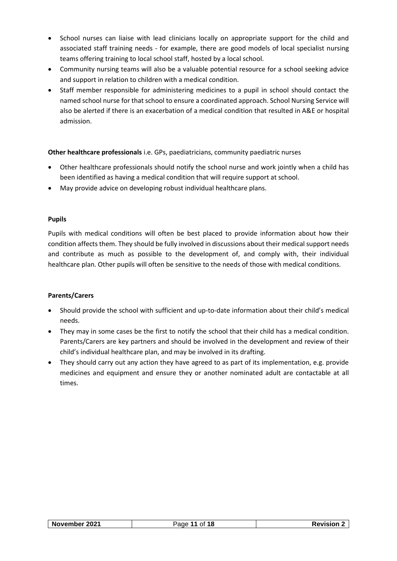- School nurses can liaise with lead clinicians locally on appropriate support for the child and associated staff training needs - for example, there are good models of local specialist nursing teams offering training to local school staff, hosted by a local school.
- Community nursing teams will also be a valuable potential resource for a school seeking advice and support in relation to children with a medical condition.
- Staff member responsible for administering medicines to a pupil in school should contact the named school nurse for that school to ensure a coordinated approach. School Nursing Service will also be alerted if there is an exacerbation of a medical condition that resulted in A&E or hospital admission.

**Other healthcare professionals** i.e. GPs, paediatricians, community paediatric nurses

- Other healthcare professionals should notify the school nurse and work jointly when a child has been identified as having a medical condition that will require support at school.
- May provide advice on developing robust individual healthcare plans.

# **Pupils**

Pupils with medical conditions will often be best placed to provide information about how their condition affects them. They should be fully involved in discussions about their medical support needs and contribute as much as possible to the development of, and comply with, their individual healthcare plan. Other pupils will often be sensitive to the needs of those with medical conditions.

# **Parents/Carers**

- Should provide the school with sufficient and up-to-date information about their child's medical needs.
- They may in some cases be the first to notify the school that their child has a medical condition. Parents/Carers are key partners and should be involved in the development and review of their child's individual healthcare plan, and may be involved in its drafting.
- They should carry out any action they have agreed to as part of its implementation, e.g. provide medicines and equipment and ensure they or another nominated adult are contactable at all times.

| 2021<br><b>Nov</b><br>ovember | 18<br>ΩŤ | المستسقين<br>ног |
|-------------------------------|----------|------------------|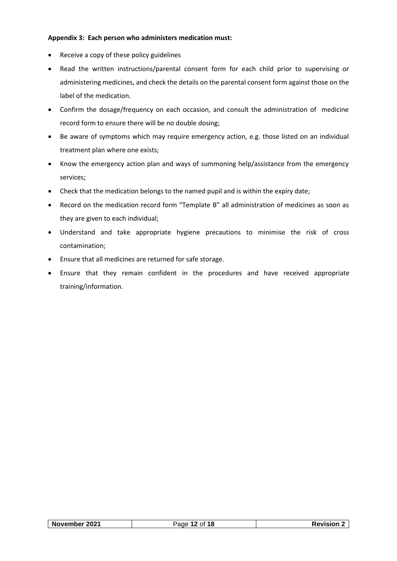#### <span id="page-11-0"></span>**Appendix 3: Each person who administers medication must:**

- Receive a copy of these policy guidelines
- Read the written instructions/parental consent form for each child prior to supervising or administering medicines, and check the details on the parental consent form against those on the label of the medication.
- Confirm the dosage/frequency on each occasion, and consult the administration of medicine record form to ensure there will be no double dosing;
- Be aware of symptoms which may require emergency action, e.g. those listed on an individual treatment plan where one exists;
- Know the emergency action plan and ways of summoning help/assistance from the emergency services;
- Check that the medication belongs to the named pupil and is within the expiry date;
- Record on the medication record form "Template B" all administration of medicines as soon as they are given to each individual;
- Understand and take appropriate hygiene precautions to minimise the risk of cross contamination;
- Ensure that all medicines are returned for safe storage.
- Ensure that they remain confident in the procedures and have received appropriate training/information.

<span id="page-11-1"></span>

| November 2021 | of <b>18</b><br>Page | 'ISION 4 |
|---------------|----------------------|----------|
|               |                      |          |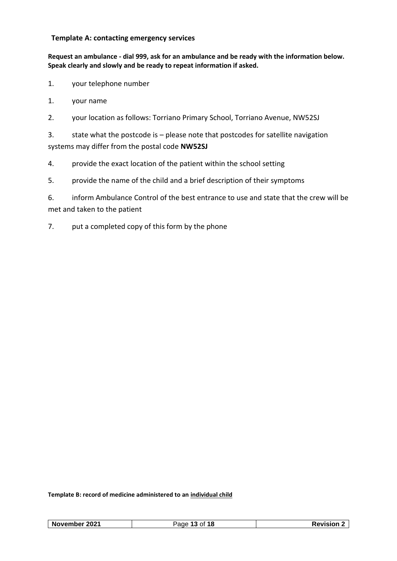# **Template A: contacting emergency services**

**Request an ambulance - dial 999, ask for an ambulance and be ready with the information below. Speak clearly and slowly and be ready to repeat information if asked.**

- 1. your telephone number
- 1. your name
- 2. your location as follows: Torriano Primary School, Torriano Avenue, NW52SJ

3. state what the postcode is – please note that postcodes for satellite navigation systems may differ from the postal code **NW52SJ**

- 4. provide the exact location of the patient within the school setting
- 5. provide the name of the child and a brief description of their symptoms

6. inform Ambulance Control of the best entrance to use and state that the crew will be met and taken to the patient

7. put a completed copy of this form by the phone

**Template B: record of medicine administered to an individual child**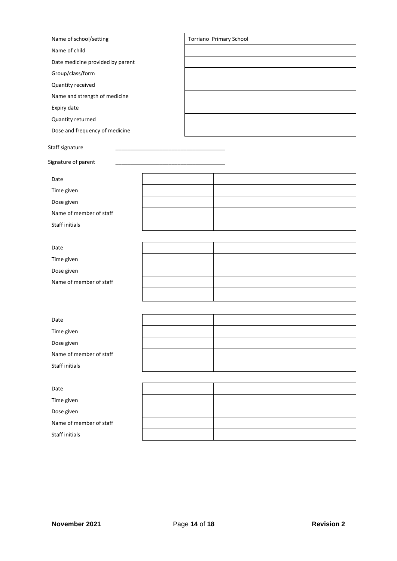| Name of school/setting           |  | Torriano Primary School |  |
|----------------------------------|--|-------------------------|--|
| Name of child                    |  |                         |  |
| Date medicine provided by parent |  |                         |  |
| Group/class/form                 |  |                         |  |
| Quantity received                |  |                         |  |
| Name and strength of medicine    |  |                         |  |
| Expiry date                      |  |                         |  |
| Quantity returned                |  |                         |  |
| Dose and frequency of medicine   |  |                         |  |
| Staff signature                  |  |                         |  |
| Signature of parent              |  |                         |  |
| Date                             |  |                         |  |
| Time given                       |  |                         |  |
| Dose given                       |  |                         |  |
| Name of member of staff          |  |                         |  |
| Staff initials                   |  |                         |  |
|                                  |  |                         |  |
| Date                             |  |                         |  |
| Time given                       |  |                         |  |
| Dose given                       |  |                         |  |
| Name of member of staff          |  |                         |  |
|                                  |  |                         |  |
|                                  |  |                         |  |
| Date                             |  |                         |  |
| Time given                       |  |                         |  |
| Dose given                       |  |                         |  |
| Name of member of staff          |  |                         |  |
| Staff initials                   |  |                         |  |
|                                  |  |                         |  |
| Date                             |  |                         |  |
| Time given                       |  |                         |  |
| Dose given                       |  |                         |  |
| Name of member of staff          |  |                         |  |
| Staff initials                   |  |                         |  |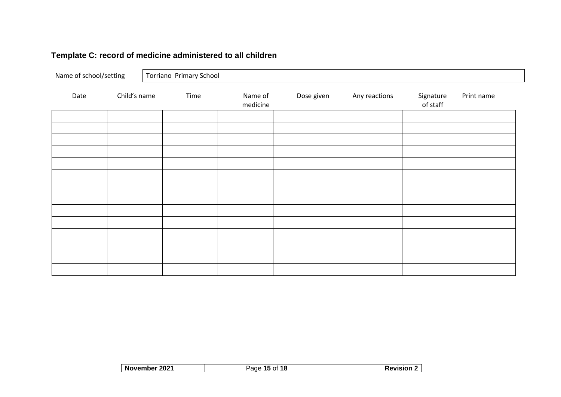# **Template C: record of medicine administered to all children**

| Name of school/setting |              | Torriano Primary School |                     |            |               |                       |            |
|------------------------|--------------|-------------------------|---------------------|------------|---------------|-----------------------|------------|
| Date                   | Child's name | Time                    | Name of<br>medicine | Dose given | Any reactions | Signature<br>of staff | Print name |
|                        |              |                         |                     |            |               |                       |            |
|                        |              |                         |                     |            |               |                       |            |
|                        |              |                         |                     |            |               |                       |            |
|                        |              |                         |                     |            |               |                       |            |
|                        |              |                         |                     |            |               |                       |            |
|                        |              |                         |                     |            |               |                       |            |
|                        |              |                         |                     |            |               |                       |            |
|                        |              |                         |                     |            |               |                       |            |
|                        |              |                         |                     |            |               |                       |            |
|                        |              |                         |                     |            |               |                       |            |
|                        |              |                         |                     |            |               |                       |            |
|                        |              |                         |                     |            |               |                       |            |

| November 2021 | Page 15 of 18 | <b>Revision</b> |
|---------------|---------------|-----------------|
|---------------|---------------|-----------------|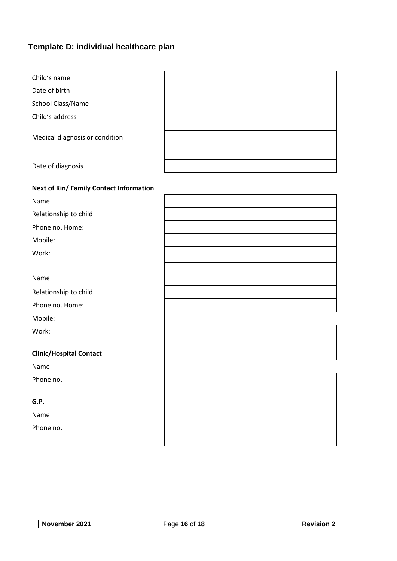# **Template D: individual healthcare plan**

| Child's name                            |  |
|-----------------------------------------|--|
| Date of birth                           |  |
| School Class/Name                       |  |
| Child's address                         |  |
| Medical diagnosis or condition          |  |
| Date of diagnosis                       |  |
| Next of Kin/ Family Contact Information |  |
| Name                                    |  |
| Relationship to child                   |  |
| Phone no. Home:                         |  |
| Mobile:                                 |  |
| Work:                                   |  |
| Name                                    |  |
| Relationship to child                   |  |
| Phone no. Home:                         |  |
| Mobile:                                 |  |
| Work:                                   |  |
| <b>Clinic/Hospital Contact</b>          |  |
| Name                                    |  |
| Phone no.                               |  |
| G.P.                                    |  |
| Name                                    |  |
| Phone no.                               |  |

| 2021<br>November | of 18<br>$\sim$ $\sim$<br>16 | VISION. |
|------------------|------------------------------|---------|
|                  |                              |         |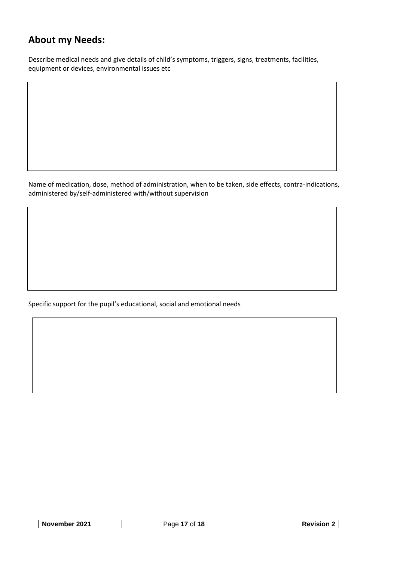# **About my Needs:**

Describe medical needs and give details of child's symptoms, triggers, signs, treatments, facilities, equipment or devices, environmental issues etc

Name of medication, dose, method of administration, when to be taken, side effects, contra-indications, administered by/self-administered with/without supervision

Specific support for the pupil's educational, social and emotional needs

| 2021<br>่ Nc<br>ופוח<br>$\sim$ | . .<br>я с<br>DТ<br>ı o |  |
|--------------------------------|-------------------------|--|
|                                |                         |  |